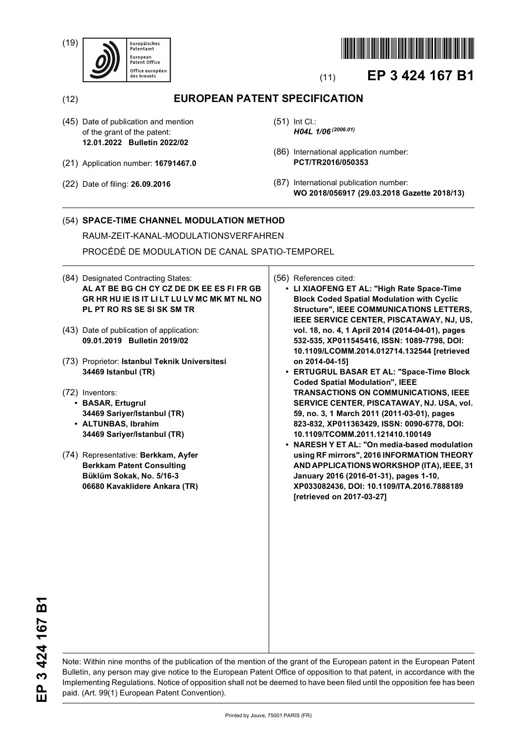(19)





# (11) **EP 3 424 167 B1**

(12) **EUROPEAN PATENT SPECIFICATION**

- (45) Date of publication and mention of the grant of the patent: **12.01.2022 Bulletin 2022/02**
- (21) Application number: **16791467.0**
- (22) Date of filing: **26.09.2016**
- (51) Int Cl.: *H04L 1/06 (2006.01)*
- (86) International application number: **PCT/TR2016/050353**
- (87) International publication number: **WO 2018/056917 (29.03.2018 Gazette 2018/13)**

## (54) **SPACE-TIME CHANNEL MODULATION METHOD**

RAUM-ZEIT-KANAL-MODULATIONSVERFAHREN

PROCÉDÉ DE MODULATION DE CANAL SPATIO-TEMPOREL

- (84) Designated Contracting States: **AL AT BE BG CH CY CZ DE DK EE ES FI FR GB GR HR HU IE IS IT LI LT LU LV MC MK MT NL NO PL PT RO RS SE SI SK SM TR**
- (43) Date of publication of application: **09.01.2019 Bulletin 2019/02**
- (73) Proprietor: **Istanbul Teknik Universitesi 34469 Istanbul (TR)**
- (72) Inventors:
	- **BASAR, Ertugrul 34469 Sariyer/Istanbul (TR)**
	- **ALTUNBAS, Ibrahim 34469 Sariyer/Istanbul (TR)**
- (74) Representative: **Berkkam, Ayfer Berkkam Patent Consulting Büklüm Sokak, No. 5/16-3 06680 Kavaklidere Ankara (TR)**

(56) References cited:

- **LI XIAOFENG ET AL: "High Rate Space-Time Block Coded Spatial Modulation with Cyclic Structure", IEEE COMMUNICATIONS LETTERS, IEEE SERVICE CENTER, PISCATAWAY, NJ, US, vol. 18, no. 4, 1 April 2014 (2014-04-01), pages 532-535, XP011545416, ISSN: 1089-7798, DOI: 10.1109/LCOMM.2014.012714.132544 [retrieved on 2014-04-15]**
- **ERTUGRUL BASAR ET AL: "Space-Time Block Coded Spatial Modulation", IEEE TRANSACTIONS ON COMMUNICATIONS, IEEE SERVICE CENTER, PISCATAWAY, NJ. USA, vol. 59, no. 3, 1 March 2011 (2011-03-01), pages 823-832, XP011363429, ISSN: 0090-6778, DOI: 10.1109/TCOMM.2011.121410.100149**
- **NARESH Y ET AL: "On media-based modulation using RF mirrors", 2016 INFORMATION THEORY AND APPLICATIONS WORKSHOP (ITA), IEEE, 31 January 2016 (2016-01-31), pages 1-10, XP033082436, DOI: 10.1109/ITA.2016.7888189 [retrieved on 2017-03-27]**

EP 3 424 167 B1 **EP 3 424 167 B1**

Note: Within nine months of the publication of the mention of the grant of the European patent in the European Patent Bulletin, any person may give notice to the European Patent Office of opposition to that patent, in accordance with the Implementing Regulations. Notice of opposition shall not be deemed to have been filed until the opposition fee has been paid. (Art. 99(1) European Patent Convention).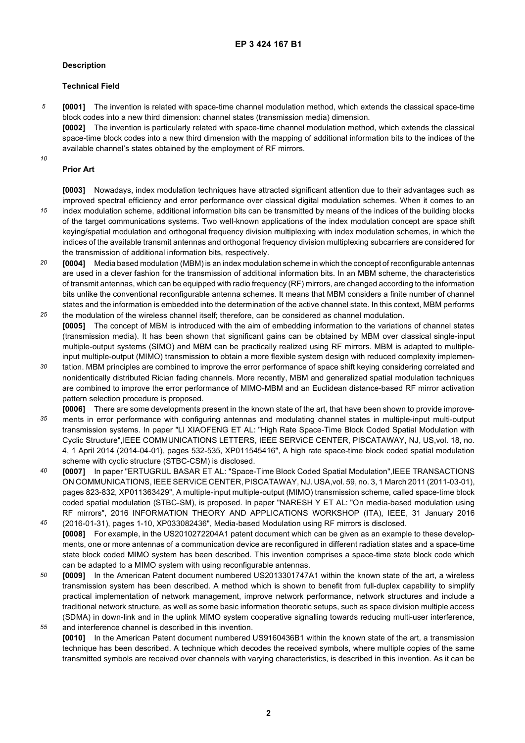### **Description**

### **Technical Field**

*5* **[0001]** The invention is related with space-time channel modulation method, which extends the classical space-time block codes into a new third dimension: channel states (transmission media) dimension.

**[0002]** The invention is particularly related with space-time channel modulation method, which extends the classical space-time block codes into a new third dimension with the mapping of additional information bits to the indices of the available channel's states obtained by the employment of RF mirrors.

# *10*

*15*

### **Prior Art**

**[0003]** Nowadays, index modulation techniques have attracted significant attention due to their advantages such as improved spectral efficiency and error performance over classical digital modulation schemes. When it comes to an index modulation scheme, additional information bits can be transmitted by means of the indices of the building blocks of the target communications systems. Two well-known applications of the index modulation concept are space shift keying/spatial modulation and orthogonal frequency division multiplexing with index modulation schemes, in which the indices of the available transmit antennas and orthogonal frequency division multiplexing subcarriers are considered for

- *20* the transmission of additional information bits, respectively. **[0004]** Media based modulation (MBM) is an index modulation scheme in which the concept of reconfigurable antennas are used in a clever fashion for the transmission of additional information bits. In an MBM scheme, the characteristics of transmit antennas, which can be equipped with radio frequency (RF) mirrors, are changed according to the information bits unlike the conventional reconfigurable antenna schemes. It means that MBM considers a finite number of channel states and the information is embedded into the determination of the active channel state. In this context, MBM performs
- *25* the modulation of the wireless channel itself; therefore, can be considered as channel modulation. **[0005]** The concept of MBM is introduced with the aim of embedding information to the variations of channel states (transmission media). It has been shown that significant gains can be obtained by MBM over classical single-input multiple-output systems (SIMO) and MBM can be practically realized using RF mirrors. MBM is adapted to multipleinput multiple-output (MIMO) transmission to obtain a more flexible system design with reduced complexity implemen-
- *30* tation. MBM principles are combined to improve the error performance of space shift keying considering correlated and nonidentically distributed Rician fading channels. More recently, MBM and generalized spatial modulation techniques are combined to improve the error performance of MIMO-MBM and an Euclidean distance-based RF mirror activation pattern selection procedure is proposed.

**[0006]** There are some developments present in the known state of the art, that have been shown to provide improve-

- *35* ments in error performance with configuring antennas and modulating channel states in multiple-input multi-output transmission systems. In paper "LI XIAOFENG ET AL: "High Rate Space-Time Block Coded Spatial Modulation with Cyclic Structure",IEEE COMMUNICATIONS LETTERS, IEEE SERViCE CENTER, PISCATAWAY, NJ, US,vol. 18, no. 4, 1 April 2014 (2014-04-01), pages 532-535, XP011545416", A high rate space-time block coded spatial modulation scheme with cyclic structure (STBC-CSM) is disclosed.
- *40* **[0007]** In paper "ERTUGRUL BASAR ET AL: "Space-Time Block Coded Spatial Modulation",IEEE TRANSACTIONS ON COMMUNICATIONS, IEEE SERViCE CENTER, PISCATAWAY, NJ. USA,vol. 59, no. 3, 1 March 2011 (2011-03-01), pages 823-832, XP011363429", A multiple-input multiple-output (MIMO) transmission scheme, called space-time block coded spatial modulation (STBC-SM), is proposed. In paper "NARESH Y ET AL: "On media-based modulation using RF mirrors", 2016 INFORMATION THEORY AND APPLICATIONS WORKSHOP (ITA), IEEE, 31 January 2016
- *45* (2016-01-31), pages 1-10, XP033082436", Media-based Modulation using RF mirrors is disclosed. **[0008]** For example, in the US2010272204A1 patent document which can be given as an example to these developments, one or more antennas of a communication device are reconfigured in different radiation states and a space-time state block coded MIMO system has been described. This invention comprises a space-time state block code which can be adapted to a MIMO system with using reconfigurable antennas.
- *50 55* **[0009]** In the American Patent document numbered US2013301747A1 within the known state of the art, a wireless transmission system has been described. A method which is shown to benefit from full-duplex capability to simplify practical implementation of network management, improve network performance, network structures and include a traditional network structure, as well as some basic information theoretic setups, such as space division multiple access (SDMA) in down-link and in the uplink MIMO system cooperative signalling towards reducing multi-user interference,
- and interference channel is described in this invention. **[0010]** In the American Patent document numbered US9160436B1 within the known state of the art, a transmission technique has been described. A technique which decodes the received symbols, where multiple copies of the same transmitted symbols are received over channels with varying characteristics, is described in this invention. As it can be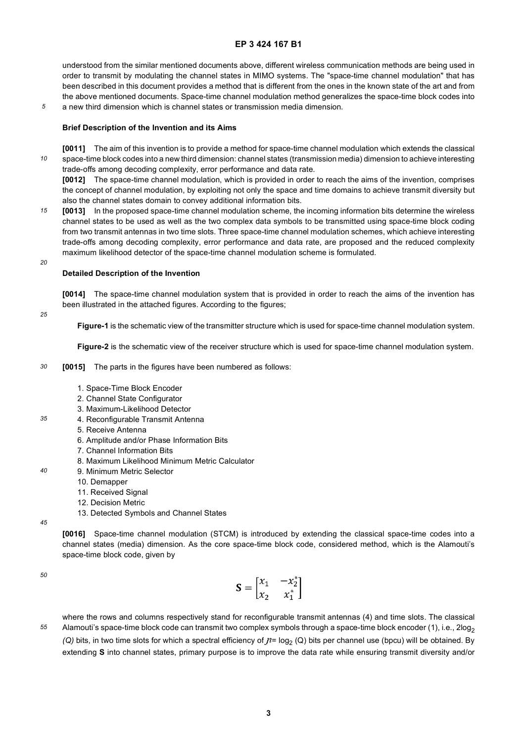understood from the similar mentioned documents above, different wireless communication methods are being used in order to transmit by modulating the channel states in MIMO systems. The "space-time channel modulation" that has been described in this document provides a method that is different from the ones in the known state of the art and from the above mentioned documents. Space-time channel modulation method generalizes the space-time block codes into

*5* a new third dimension which is channel states or transmission media dimension.

### **Brief Description of the Invention and its Aims**

*10* **[0011]** The aim of this invention is to provide a method for space-time channel modulation which extends the classical space-time block codes into a new third dimension: channel states (transmission media) dimension to achieve interesting trade-offs among decoding complexity, error performance and data rate.

**[0012]** The space-time channel modulation, which is provided in order to reach the aims of the invention, comprises the concept of channel modulation, by exploiting not only the space and time domains to achieve transmit diversity but also the channel states domain to convey additional information bits.

*15* **[0013]** In the proposed space-time channel modulation scheme, the incoming information bits determine the wireless channel states to be used as well as the two complex data symbols to be transmitted using space-time block coding from two transmit antennas in two time slots. Three space-time channel modulation schemes, which achieve interesting trade-offs among decoding complexity, error performance and data rate, are proposed and the reduced complexity maximum likelihood detector of the space-time channel modulation scheme is formulated.

**Detailed Description of the Invention**

**[0014]** The space-time channel modulation system that is provided in order to reach the aims of the invention has been illustrated in the attached figures. According to the figures;

*25*

*35*

*40*

*20*

**Figure-1** is the schematic view of the transmitter structure which is used for space-time channel modulation system.

**Figure-2** is the schematic view of the receiver structure which is used for space-time channel modulation system.

- *30* **[0015]** The parts in the figures have been numbered as follows:
	- 1. Space-Time Block Encoder
	- 2. Channel State Configurator
	- 3. Maximum-Likelihood Detector
	- 4. Reconfigurable Transmit Antenna
		- 5. Receive Antenna
		- 6. Amplitude and/or Phase Information Bits
		- 7. Channel Information Bits
		- 8. Maximum Likelihood Minimum Metric Calculator
	- 9. Minimum Metric Selector
		- 10. Demapper
		- 11. Received Signal
		- 12. Decision Metric
		- 13. Detected Symbols and Channel States

*45*

**[0016]** Space-time channel modulation (STCM) is introduced by extending the classical space-time codes into a channel states (media) dimension. As the core space-time block code, considered method, which is the Alamouti's space-time block code, given by

*50*

$$
\mathbf{S} = \begin{bmatrix} x_1 & -x_2^* \\ x_2 & x_1^* \end{bmatrix}
$$

*55* where the rows and columns respectively stand for reconfigurable transmit antennas (4) and time slots. The classical Alamouti's space-time block code can transmit two complex symbols through a space-time block encoder (1), i.e., 2log<sub>2</sub> *(Q)* bits, in two time slots for which a spectral efficiency of  $n = \log_2 (Q)$  bits per channel use (bpcu) will be obtained. By extending **S** into channel states, primary purpose is to improve the data rate while ensuring transmit diversity and/or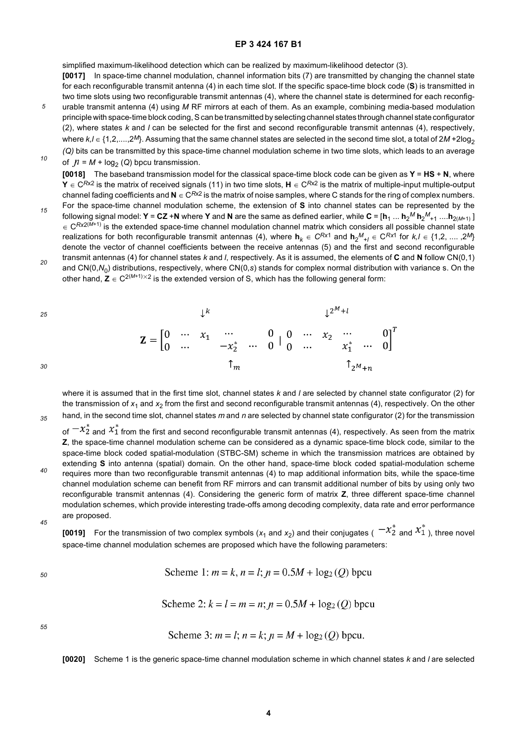simplified maximum-likelihood detection which can be realized by maximum-likelihood detector (3).

- *5* **[0017]** In space-time channel modulation, channel information bits (7) are transmitted by changing the channel state for each reconfigurable transmit antenna (4) in each time slot. If the specific space-time block code (**S**) is transmitted in two time slots using two reconfigurable transmit antennas (4), where the channel state is determined for each reconfigurable transmit antenna (4) using *M* RF mirrors at each of them. As an example, combining media-based modulation principle with space-time block coding, S can be transmitted by selecting channel states through channel state configurator (2), where states *k* and *l* can be selected for the first and second reconfigurable transmit antennas (4), respectively, where  $k, l \in \{1, 2, \ldots, 2^M\}$ . Assuming that the same channel states are selected in the second time slot, a total of  $2M + 2\log_2$
- *10 (Q)* bits can be transmitted by this space-time channel modulation scheme in two time slots, which leads to an average of  $\mathcal{N} = M + \log_2(Q)$  bpcu transmission.

**[0018]** The baseband transmission model for the classical space-time block code can be given as **Y** = **HS** + **N**, where **Y** ∈ C*R*x2 is the matrix of received signals (11) in two time slots, **H** ∈ C*R*x2 is the matrix of multiple-input multiple-output channel fading coefficients and  $N \in \mathbb{C}^{R\times 2}$  is the matrix of noise samples, where C stands for the ring of complex numbers.

- *15* For the space-time channel modulation scheme, the extension of **S** into channel states can be represented by the following signal model:  $\mathsf{Y} = \mathsf{CZ} + \mathsf{N}$  where  $\mathsf{Y}$  and  $\mathsf{N}$  are the same as defined earlier, while  $\mathsf{C} = [\mathsf{h}_1 \dots \mathsf{h}_2{}^M \mathsf{h}_2{}^M_{+1} \dots$ .h $_{2(M+1)}$  ] ∈ C*Rx*2(*M*+1) is the extended space-time channel modulation channel matrix which considers all possible channel state realizations for both reconfigurable transmit antennas (4), where  $h_k \in C^{Rx1}$  and  $h_2^M{}_t_l \in C^{Rx1}$  for  $k,l \in \{1,2,...,2^M\}$ denote the vector of channel coefficients between the receive antennas (5) and the first and second reconfigurable transmit antennas (4) for channel states *k* and *l*, respectively. As it is assumed, the elements of **C** and **N** follow CN(0,1)
- *20* and CN(0, $N_0$ ) distributions, respectively, where CN(0,*s*) stands for complex normal distribution with variance s. On the other hand,  $\mathbf{Z} \in C^{2(M+1)\times 2}$  is the extended version of S, which has the following general form:

 $l^2$  $\perp$  $\mathbf{Z} = \begin{bmatrix} 0 & \cdots & x_1 & \cdots & 0 & 0 & \cdots & x_2 & \cdots & 0 \\ 0 & \cdots & & -x_2^* & \cdots & 0 & 0 & \cdots & x_1^* & \cdots & 0 \end{bmatrix}^T$  $\uparrow_{2^M+n}$ 

*35* where it is assumed that in the first time slot, channel states *k* and *l* are selected by channel state configurator (2) for the transmission of  $x_1$  and  $x_2$  from the first and second reconfigurable transmit antennas (4), respectively. On the other hand, in the second time slot, channel states *m* and *n* are selected by channel state configurator (2) for the transmission

of  $-x_2^*$  and  $x_1^*$  from the first and second reconfigurable transmit antennas (4), respectively. As seen from the matrix **Z**, the space-time channel modulation scheme can be considered as a dynamic space-time block code, similar to the space-time block coded spatial-modulation (STBC-SM) scheme in which the transmission matrices are obtained by extending **S** into antenna (spatial) domain. On the other hand, space-time block coded spatial-modulation scheme requires more than two reconfigurable transmit antennas (4) to map additional information bits, while the space-time

- *45* channel modulation scheme can benefit from RF mirrors and can transmit additional number of bits by using only two reconfigurable transmit antennas (4). Considering the generic form of matrix **Z**, three different space-time channel modulation schemes, which provide interesting trade-offs among decoding complexity, data rate and error performance are proposed.
	- **[0019]** For the transmission of two complex symbols  $(x_1$  and  $x_2$ ) and their conjugates (  $-x_2^*$  and  $x_1^*$ ), three novel space-time channel modulation schemes are proposed which have the following parameters:

*50*

*25*

*30*

*40*

Scheme 1:  $m = k$ ,  $n = l$ ;  $n = 0.5M + log_2(Q)$  bpcu

Scheme 2:  $k = l = m = n$ :  $n = 0.5M + log_2(O)$  bpcu

*55*

Scheme 3:  $m = l$ ;  $n = k$ ;  $n = M + log_2(Q)$  bpcu.

**[0020]** Scheme 1 is the generic space-time channel modulation scheme in which channel states *k* and *l* are selected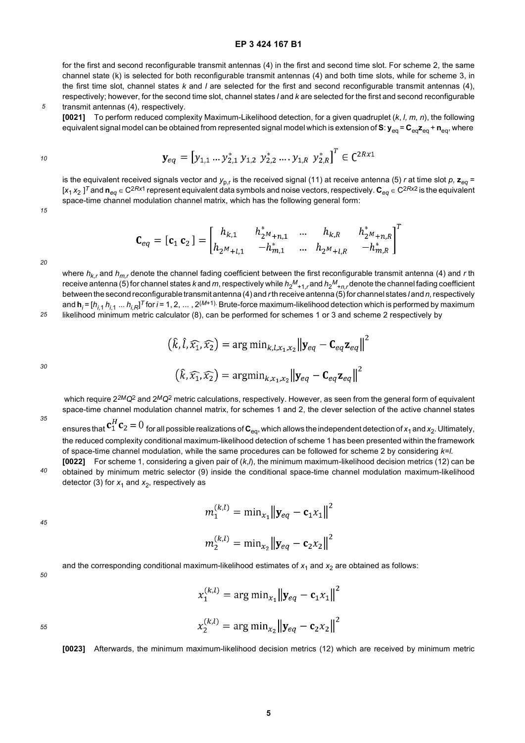for the first and second reconfigurable transmit antennas (4) in the first and second time slot. For scheme 2, the same channel state (k) is selected for both reconfigurable transmit antennas (4) and both time slots, while for scheme 3, in the first time slot, channel states *k* and *l* are selected for the first and second reconfigurable transmit antennas (4), respectively; however, for the second time slot, channel states *l* and *k* are selected for the first and second reconfigurable transmit antennas (4), respectively.

**[0021]** To perform reduced complexity Maximum-Likelihood detection, for a given quadruplet (*k*, *l, m, n*), the following equivalent signal model can be obtained from represented signal model which is extension of S:  $y_{eq} = C_{eq}z_{eq} + n_{eq}$ , where

$$
\mathbf{y}_{eq} = [y_{1,1} \dots y_{2,1}^* y_{1,2} y_{2,2}^* \dots y_{1,R} y_{2,R}^*]^T \in \mathbb{C}^{2R \times 1}
$$

is the equivalent received signals vector and  $y_{p,r}$  is the received signal (11) at receive antenna (5) *r* at time slot *p*,  $z_{eq}$  = [*x*<sup>1</sup> *x*<sup>2</sup> ] *<sup>T</sup>* and **n***eq* ∈ C2*Rx*1 represent equivalent data symbols and noise vectors, respectively. **C***eq* ∈ C2*Rx*2 is the equivalent space-time channel modulation channel matrix, which has the following general form:

*15*

*10*

*5*

$$
\mathbf{C}_{eq} = [\mathbf{c}_1 \ \mathbf{c}_2] = \begin{bmatrix} h_{k,1} & h_{2^M+n,1}^* & \dots & h_{k,R} & h_{2^M+n,R}^* \\ h_{2^M+l,1} & -h_{m,1}^* & \dots & h_{2^M+l,R} & -h_{m,R}^* \end{bmatrix}^T
$$

*20*

*25*

where *hk,r* and *hm,r* denote the channel fading coefficient between the first reconfigurable transmit antenna (4) and *r* th receive antenna (5) for channel states *k* and *m*, respectively while  $h_2{}^M{}_{+1,r}$  and  $h_2{}^M{}_{+n,r}$ denote the channel fading coefficient between the second reconfigurable transmit antenna (4) and *r* th receive antenna (5) for channel states *l* and *n,* respectively and **h***<sup>i</sup>* = [*hi,*<sup>1</sup> *hi*,1 ... *hi,R*] *<sup>T</sup>* for *i* = 1, 2, ... , 2(*M*+1). Brute-force maximum-likelihood detection which is performed by maximum likelihood minimum metric calculator (8), can be performed for schemes 1 or 3 and scheme 2 respectively by

$$
(\hat{k}, \hat{l}, \widehat{x_1}, \widehat{x_2}) = \arg\min_{k, l, x_1, x_2} ||\mathbf{y}_{eq} - \mathbf{C}_{eq} \mathbf{z}_{eq}||^2
$$

$$
(\hat{k}, \widehat{x_1}, \widehat{x_2}) = \arg\min_{k, x_1, x_2} ||\mathbf{y}_{eq} - \mathbf{C}_{eq} \mathbf{z}_{eq}||^2
$$

*30*

*35*

 which require 2*2MQ*2 and 2*MQ*2 metric calculations, respectively. However, as seen from the general form of equivalent space-time channel modulation channel matrix, for schemes 1 and 2, the clever selection of the active channel states

ensures that  $\mathbf{c}_1^H \mathbf{c}_2 = 0$  for all possible realizations of  $\mathbf{c}_{eq}$ , which allows the independent detection of  $x_1$  and  $x_2$ . Ultimately, the reduced complexity conditional maximum-likelihood detection of scheme 1 has been presented within the framework of space-time channel modulation, while the same procedures can be followed for scheme 2 by considering *k=l.*

*40* **[0022]** For scheme 1, considering a given pair of (*k*,*l*), the minimum maximum-likelihood decision metrics (12) can be obtained by minimum metric selector (9) inside the conditional space-time channel modulation maximum-likelihood detector (3) for  $x_1$  and  $x_2$ , respectively as

$$
m_1^{(k,l)} = \min_{x_1} {\left\| \mathbf{y}_{eq} - \mathbf{c}_1 x_1 \right\|^2}
$$

$$
m_2^{(k,l)} = \min_{x_2} {\left\| \mathbf{y}_{eq} - \mathbf{c}_2 x_2 \right\|^2}
$$

*45*

*50*

and the corresponding conditional maximum-likelihood estimates of  $x_1$  and  $x_2$  are obtained as follows:

$$
x_1^{(k,l)} = \arg\min_{x_1} ||\mathbf{y}_{eq} - \mathbf{c}_1 x_1||^2
$$

$$
x_2^{(k,l)} = \arg\min_{x_2} ||\mathbf{y}_{eq} - \mathbf{c}_2 x_2||^2
$$

*55*

**[0023]** Afterwards, the minimum maximum-likelihood decision metrics (12) which are received by minimum metric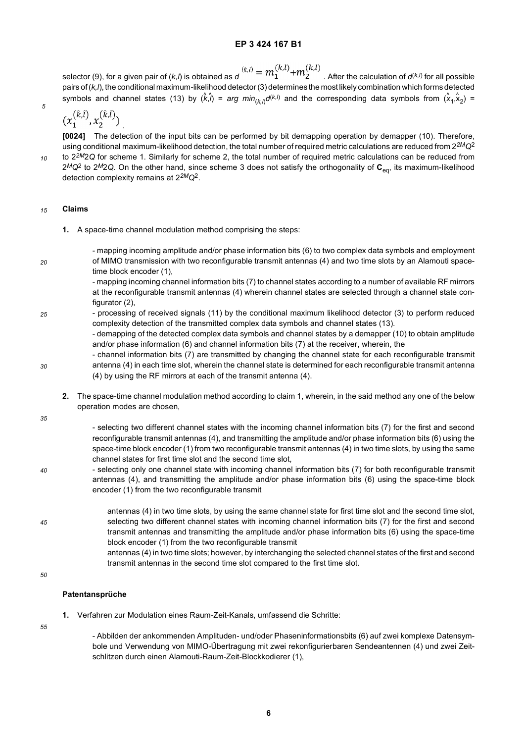$$
k_{n}^{(k,l)} = m_1^{(k,l)} + m_2^{(k,l)}
$$

selector (9), for a given pair of  $(k_l)$  is obtained as  $d_l = \frac{m_1 - m_2}{l}$ . After the calculation of  $d^{(k,l)}$  for all possible pairs of (*k,l*), the conditional maximum-likelihood detector (3) determines the most likely combination which forms detected symbols and channel states (13) by  $(\hat{k},\hat{l})$  = arg min<sub>(k,l)</sub>d<sup>(k,l)</sup> and the corresponding data symbols from  $(\hat{x}_1,\hat{x}_2)$  =

$$
(x_1^{(\hat{k},\hat{l})},x_2^{(\hat{k},\hat{l})})
$$

**[0024]** The detection of the input bits can be performed by bit demapping operation by demapper (10). Therefore, using conditional maximum-likelihood detection, the total number of required metric calculations are reduced from 2*2MQ*<sup>2</sup>

*10*

*5*

to 2*2M*2*Q* for scheme 1. Similarly for scheme 2, the total number of required metric calculations can be reduced from 2*MQ*2 to 2*M*2*Q.* On the other hand, since scheme 3 does not satisfy the orthogonality of **C**eq, its maximum-likelihood detection complexity remains at 2*2MQ*2.

#### *15* **Claims**

- **1.** A space-time channel modulation method comprising the steps:
- *20* - mapping incoming amplitude and/or phase information bits (6) to two complex data symbols and employment of MIMO transmission with two reconfigurable transmit antennas (4) and two time slots by an Alamouti spacetime block encoder (1), - mapping incoming channel information bits (7) to channel states according to a number of available RF mirrors
	- at the reconfigurable transmit antennas (4) wherein channel states are selected through a channel state configurator (2),
- *25* - processing of received signals (11) by the conditional maximum likelihood detector (3) to perform reduced complexity detection of the transmitted complex data symbols and channel states (13).
	- demapping of the detected complex data symbols and channel states by a demapper (10) to obtain amplitude and/or phase information (6) and channel information bits (7) at the receiver, wherein, the
- *30* - channel information bits (7) are transmitted by changing the channel state for each reconfigurable transmit antenna (4) in each time slot, wherein the channel state is determined for each reconfigurable transmit antenna (4) by using the RF mirrors at each of the transmit antenna (4).
	- **2.** The space-time channel modulation method according to claim 1, wherein, in the said method any one of the below operation modes are chosen,
- *35*
- selecting two different channel states with the incoming channel information bits (7) for the first and second reconfigurable transmit antennas (4), and transmitting the amplitude and/or phase information bits (6) using the space-time block encoder (1) from two reconfigurable transmit antennas (4) in two time slots, by using the same channel states for first time slot and the second time slot,
- *40* - selecting only one channel state with incoming channel information bits (7) for both reconfigurable transmit antennas (4), and transmitting the amplitude and/or phase information bits (6) using the space-time block encoder (1) from the two reconfigurable transmit
- *45* antennas (4) in two time slots, by using the same channel state for first time slot and the second time slot, selecting two different channel states with incoming channel information bits (7) for the first and second transmit antennas and transmitting the amplitude and/or phase information bits (6) using the space-time block encoder (1) from the two reconfigurable transmit
- 

antennas (4) in two time slots; however, by interchanging the selected channel states of the first and second transmit antennas in the second time slot compared to the first time slot.

# *50*

*55*

### **Patentansprüche**

**1.** Verfahren zur Modulation eines Raum-Zeit-Kanals, umfassend die Schritte:

- Abbilden der ankommenden Amplituden- und/oder Phaseninformationsbits (6) auf zwei komplexe Datensymbole und Verwendung von MIMO-Übertragung mit zwei rekonfigurierbaren Sendeantennen (4) und zwei Zeitschlitzen durch einen Alamouti-Raum-Zeit-Blockkodierer (1),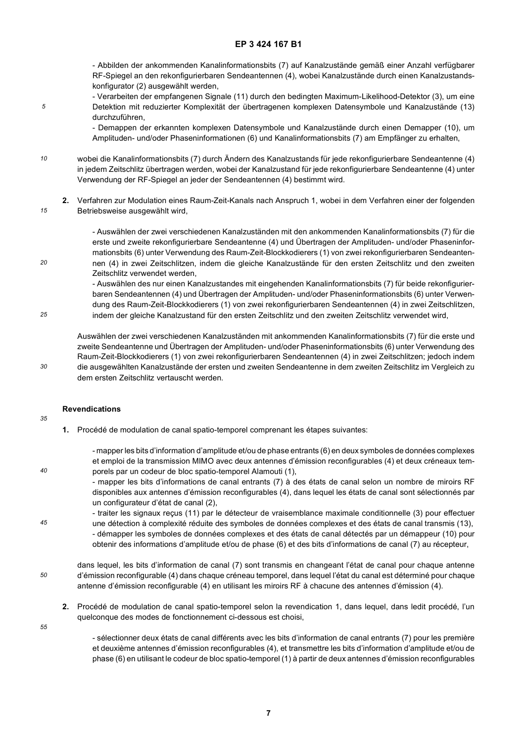- Abbilden der ankommenden Kanalinformationsbits (7) auf Kanalzustände gemäß einer Anzahl verfügbarer RF-Spiegel an den rekonfigurierbaren Sendeantennen (4), wobei Kanalzustände durch einen Kanalzustandskonfigurator (2) ausgewählt werden,

- Verarbeiten der empfangenen Signale (11) durch den bedingten Maximum-Likelihood-Detektor (3), um eine Detektion mit reduzierter Komplexität der übertragenen komplexen Datensymbole und Kanalzustände (13) durchzuführen,

- Demappen der erkannten komplexen Datensymbole und Kanalzustände durch einen Demapper (10), um Amplituden- und/oder Phaseninformationen (6) und Kanalinformationsbits (7) am Empfänger zu erhalten,

- *10* wobei die Kanalinformationsbits (7) durch Ändern des Kanalzustands für jede rekonfigurierbare Sendeantenne (4) in jedem Zeitschlitz übertragen werden, wobei der Kanalzustand für jede rekonfigurierbare Sendeantenne (4) unter Verwendung der RF-Spiegel an jeder der Sendeantennen (4) bestimmt wird.
- *15* **2.** Verfahren zur Modulation eines Raum-Zeit-Kanals nach Anspruch 1, wobei in dem Verfahren einer der folgenden Betriebsweise ausgewählt wird,

- Auswählen der zwei verschiedenen Kanalzuständen mit den ankommenden Kanalinformationsbits (7) für die erste und zweite rekonfigurierbare Sendeantenne (4) und Übertragen der Amplituden- und/oder Phaseninformationsbits (6) unter Verwendung des Raum-Zeit-Blockkodierers (1) von zwei rekonfigurierbaren Sendeantennen (4) in zwei Zeitschlitzen, indem die gleiche Kanalzustände für den ersten Zeitschlitz und den zweiten Zeitschlitz verwendet werden,

- Auswählen des nur einen Kanalzustandes mit eingehenden Kanalinformationsbits (7) für beide rekonfigurierbaren Sendeantennen (4) und Übertragen der Amplituden- und/oder Phaseninformationsbits (6) unter Verwendung des Raum-Zeit-Blockkodierers (1) von zwei rekonfigurierbaren Sendeantennen (4) in zwei Zeitschlitzen, indem der gleiche Kanalzustand für den ersten Zeitschlitz und den zweiten Zeitschlitz verwendet wird,

Auswählen der zwei verschiedenen Kanalzuständen mit ankommenden Kanalinformationsbits (7) für die erste und zweite Sendeantenne und Übertragen der Amplituden- und/oder Phaseninformationsbits (6) unter Verwendung des Raum-Zeit-Blockkodierers (1) von zwei rekonfigurierbaren Sendeantennen (4) in zwei Zeitschlitzen; jedoch indem die ausgewählten Kanalzustände der ersten und zweiten Sendeantenne in dem zweiten Zeitschlitz im Vergleich zu dem ersten Zeitschlitz vertauscht werden.

### **Revendications**

*35*

*40*

*45*

*5*

*20*

*25*

*30*

**1.** Procédé de modulation de canal spatio-temporel comprenant les étapes suivantes:

- mapper les bits d'information d'amplitude et/ou de phase entrants (6) en deux symboles de données complexes et emploi de la transmission MIMO avec deux antennes d'émission reconfigurables (4) et deux créneaux temporels par un codeur de bloc spatio-temporel Alamouti (1),

- mapper les bits d'informations de canal entrants (7) à des états de canal selon un nombre de miroirs RF disponibles aux antennes d'émission reconfigurables (4), dans lequel les états de canal sont sélectionnés par un configurateur d'état de canal (2),

- traiter les signaux reçus (11) par le détecteur de vraisemblance maximale conditionnelle (3) pour effectuer une détection à complexité réduite des symboles de données complexes et des états de canal transmis (13), - démapper les symboles de données complexes et des états de canal détectés par un démappeur (10) pour obtenir des informations d'amplitude et/ou de phase (6) et des bits d'informations de canal (7) au récepteur,

*50* dans lequel, les bits d'information de canal (7) sont transmis en changeant l'état de canal pour chaque antenne d'émission reconfigurable (4) dans chaque créneau temporel, dans lequel l'état du canal est déterminé pour chaque antenne d'émission reconfigurable (4) en utilisant les miroirs RF à chacune des antennes d'émission (4).

- **2.** Procédé de modulation de canal spatio-temporel selon la revendication 1, dans lequel, dans ledit procédé, l'un quelconque des modes de fonctionnement ci-dessous est choisi,
- *55*

- sélectionner deux états de canal différents avec les bits d'information de canal entrants (7) pour les première et deuxième antennes d'émission reconfigurables (4), et transmettre les bits d'information d'amplitude et/ou de phase (6) en utilisant le codeur de bloc spatio-temporel (1) à partir de deux antennes d'émission reconfigurables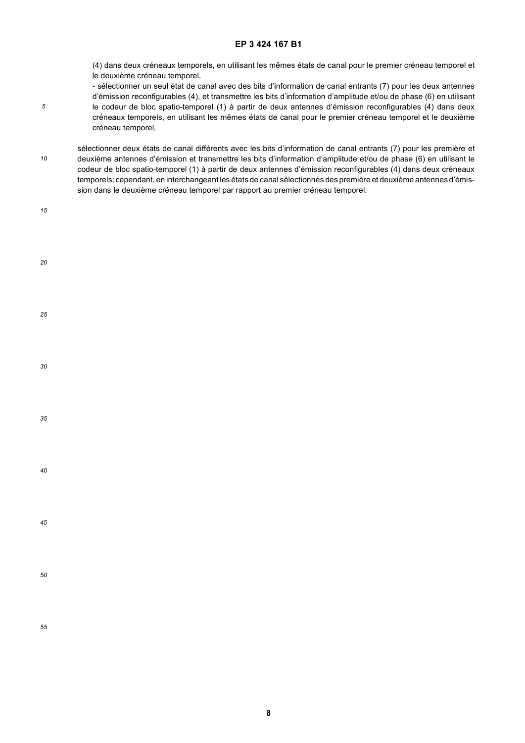(4) dans deux créneaux temporels, en utilisant les mêmes états de canal pour le premier créneau temporel et le deuxième créneau temporel,

- sélectionner un seul état de canal avec des bits d'information de canal entrants (7) pour les deux antennes d'émission reconfigurables (4), et transmettre les bits d'information d'amplitude et/ou de phase (6) en utilisant le codeur de bloc spatio-temporel (1) à partir de deux antennes d'émission reconfigurables (4) dans deux créneaux temporels, en utilisant les mêmes états de canal pour le premier créneau temporel et le deuxième créneau temporel,
- *10* sélectionner deux états de canal différents avec les bits d'information de canal entrants (7) pour les première et deuxième antennes d'émission et transmettre les bits d'information d'amplitude et/ou de phase (6) en utilisant le codeur de bloc spatio-temporel (1) à partir de deux antennes d'émission reconfigurables (4) dans deux créneaux temporels; cependant, en interchangeant les états de canal sélectionnés des première et deuxième antennes d'émission dans le deuxième créneau temporel par rapport au premier créneau temporel.
- *20 25 30 35 40 45 50 55*

*5*

*15*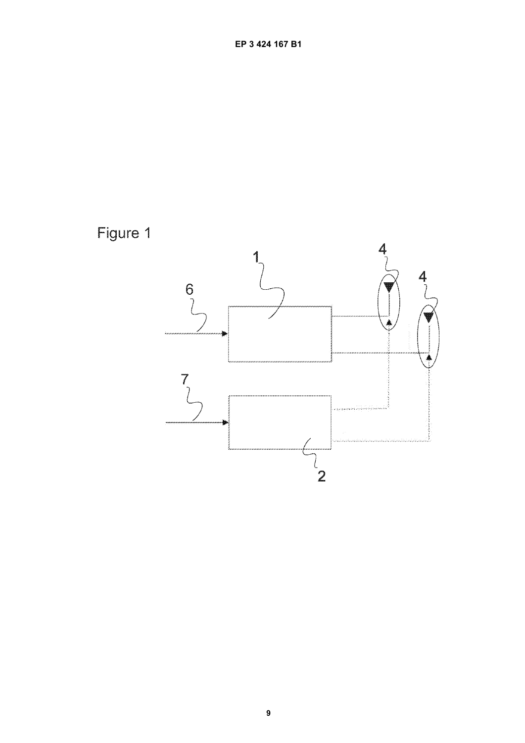

9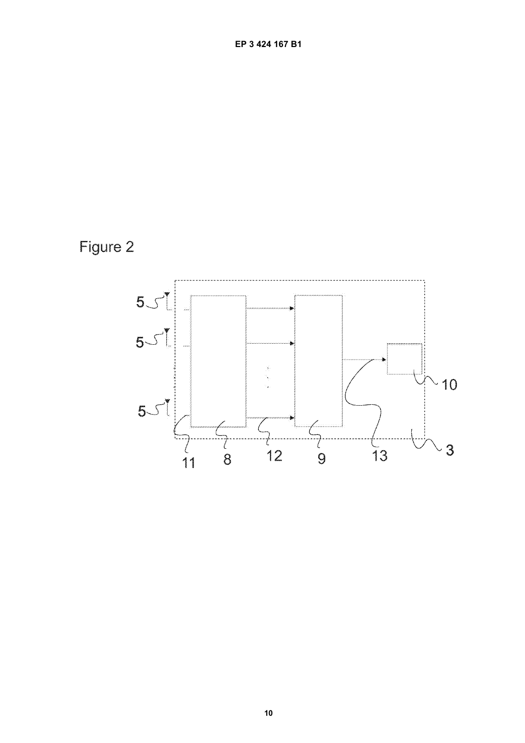